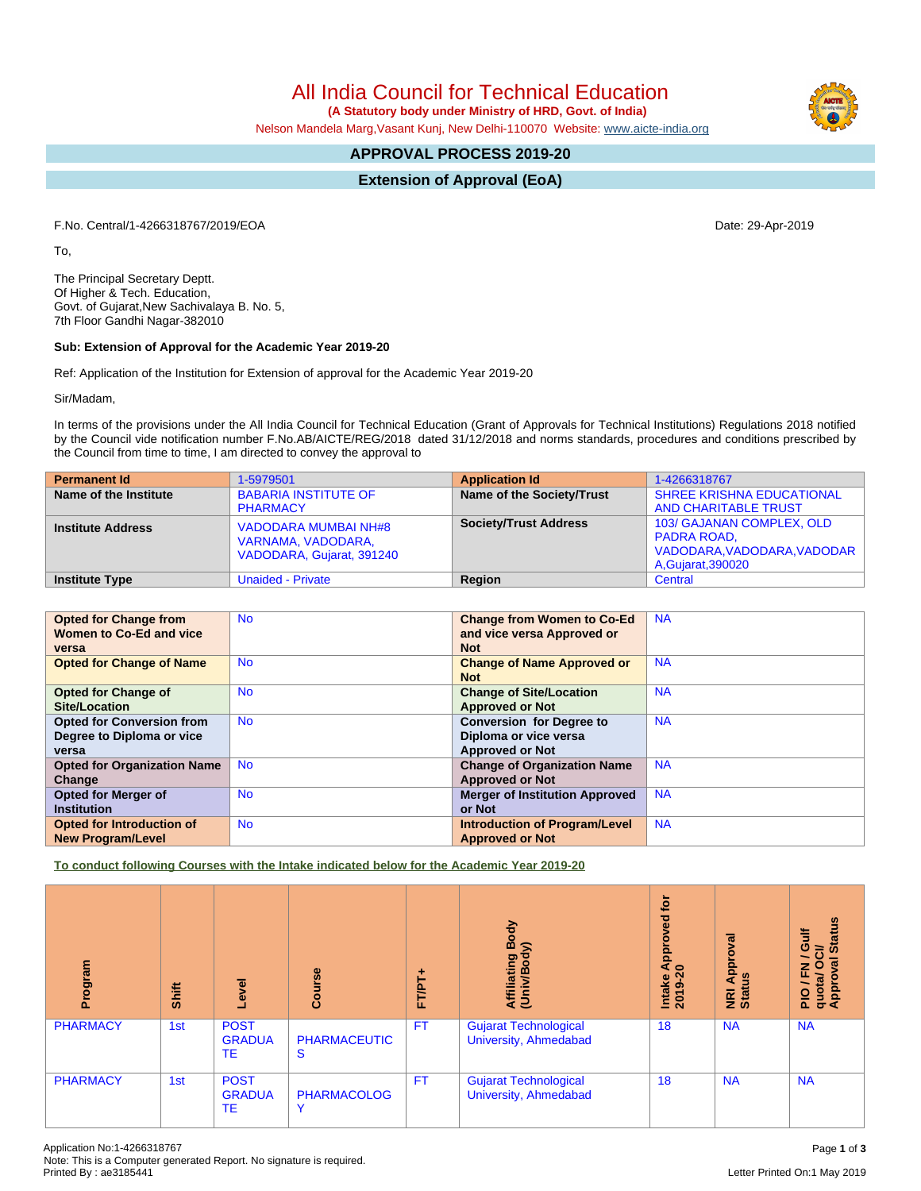Letter Printed On:1 May 2019

# All India Council for Technical Education  **(A Statutory body under Ministry of HRD, Govt. of India)**

Nelson Mandela Marg,Vasant Kunj, New Delhi-110070 Website: [www.aicte-india.org](http://www.aicte-india.org)

## **APPROVAL PROCESS 2019-20**

**Extension of Approval (EoA)**

F.No. Central/1-4266318767/2019/EOA Date: 29-Apr-2019

To,

The Principal Secretary Deptt. Of Higher & Tech. Education, Govt. of Gujarat,New Sachivalaya B. No. 5, 7th Floor Gandhi Nagar-382010

## **Sub: Extension of Approval for the Academic Year 2019-20**

Ref: Application of the Institution for Extension of approval for the Academic Year 2019-20

Sir/Madam,

In terms of the provisions under the All India Council for Technical Education (Grant of Approvals for Technical Institutions) Regulations 2018 notified by the Council vide notification number F.No.AB/AICTE/REG/2018 dated 31/12/2018 and norms standards, procedures and conditions prescribed by the Council from time to time, I am directed to convey the approval to

| <b>Permanent Id</b>      | 1-5979501                                                                      | <b>Application Id</b>        | 1-4266318767                                                                                    |
|--------------------------|--------------------------------------------------------------------------------|------------------------------|-------------------------------------------------------------------------------------------------|
| Name of the Institute    | <b>BABARIA INSTITUTE OF</b><br><b>PHARMACY</b>                                 | Name of the Society/Trust    | <b>SHREE KRISHNA EDUCATIONAL</b><br><b>AND CHARITABLE TRUST</b>                                 |
| <b>Institute Address</b> | <b>VADODARA MUMBAI NH#8</b><br>VARNAMA, VADODARA,<br>VADODARA, Gujarat, 391240 | <b>Society/Trust Address</b> | 103/ GAJANAN COMPLEX, OLD<br>PADRA ROAD,<br>VADODARA, VADODARA, VADODAR  <br>A, Gujarat, 390020 |
| <b>Institute Type</b>    | <b>Unaided - Private</b>                                                       | Region                       | Central                                                                                         |

| <b>Opted for Change from</b>       | <b>No</b> | <b>Change from Women to Co-Ed</b>     | <b>NA</b> |
|------------------------------------|-----------|---------------------------------------|-----------|
| Women to Co-Ed and vice            |           | and vice versa Approved or            |           |
| versa                              |           | <b>Not</b>                            |           |
| <b>Opted for Change of Name</b>    | <b>No</b> | <b>Change of Name Approved or</b>     | <b>NA</b> |
|                                    |           | <b>Not</b>                            |           |
| <b>Opted for Change of</b>         | <b>No</b> | <b>Change of Site/Location</b>        | <b>NA</b> |
| <b>Site/Location</b>               |           | <b>Approved or Not</b>                |           |
| <b>Opted for Conversion from</b>   | <b>No</b> | <b>Conversion for Degree to</b>       | <b>NA</b> |
| Degree to Diploma or vice          |           | Diploma or vice versa                 |           |
| versa                              |           | <b>Approved or Not</b>                |           |
| <b>Opted for Organization Name</b> | <b>No</b> | <b>Change of Organization Name</b>    | <b>NA</b> |
| Change                             |           | <b>Approved or Not</b>                |           |
| <b>Opted for Merger of</b>         | <b>No</b> | <b>Merger of Institution Approved</b> | <b>NA</b> |
| <b>Institution</b>                 |           | or Not                                |           |
| Opted for Introduction of          | No.       | <b>Introduction of Program/Level</b>  | <b>NA</b> |
| <b>New Program/Level</b>           |           | <b>Approved or Not</b>                |           |

**To conduct following Courses with the Intake indicated below for the Academic Year 2019-20**

| rogram          | Shift | Level                              | Course                             | FT/PT+    | Body<br>⋦<br>Affiliating<br>(Univ/Body                | <b>jo</b><br>yed<br>ō<br>a<br>a<br>a<br>Intake<br>2019- | ζā<br>ē<br>Appr<br>9n<br>NRI<br>Stat | <b>Status</b><br>Guif<br>ਰੋ<br>$\circ$<br>$\sigma$<br>준<br>quota/<br>Approv<br>$\frac{1}{2}$ |
|-----------------|-------|------------------------------------|------------------------------------|-----------|-------------------------------------------------------|---------------------------------------------------------|--------------------------------------|----------------------------------------------------------------------------------------------|
| <b>PHARMACY</b> | 1st   | <b>POST</b><br><b>GRADUA</b><br>ТE | <b>PHARMACEUTIC</b><br>S           | <b>FT</b> | <b>Gujarat Technological</b><br>University, Ahmedabad | 18                                                      | <b>NA</b>                            | <b>NA</b>                                                                                    |
| <b>PHARMACY</b> | 1st   | <b>POST</b><br><b>GRADUA</b><br>TE | <b>PHARMACOLOG</b><br>$\checkmark$ | <b>FT</b> | <b>Gujarat Technological</b><br>University, Ahmedabad | 18                                                      | <b>NA</b>                            | <b>NA</b>                                                                                    |

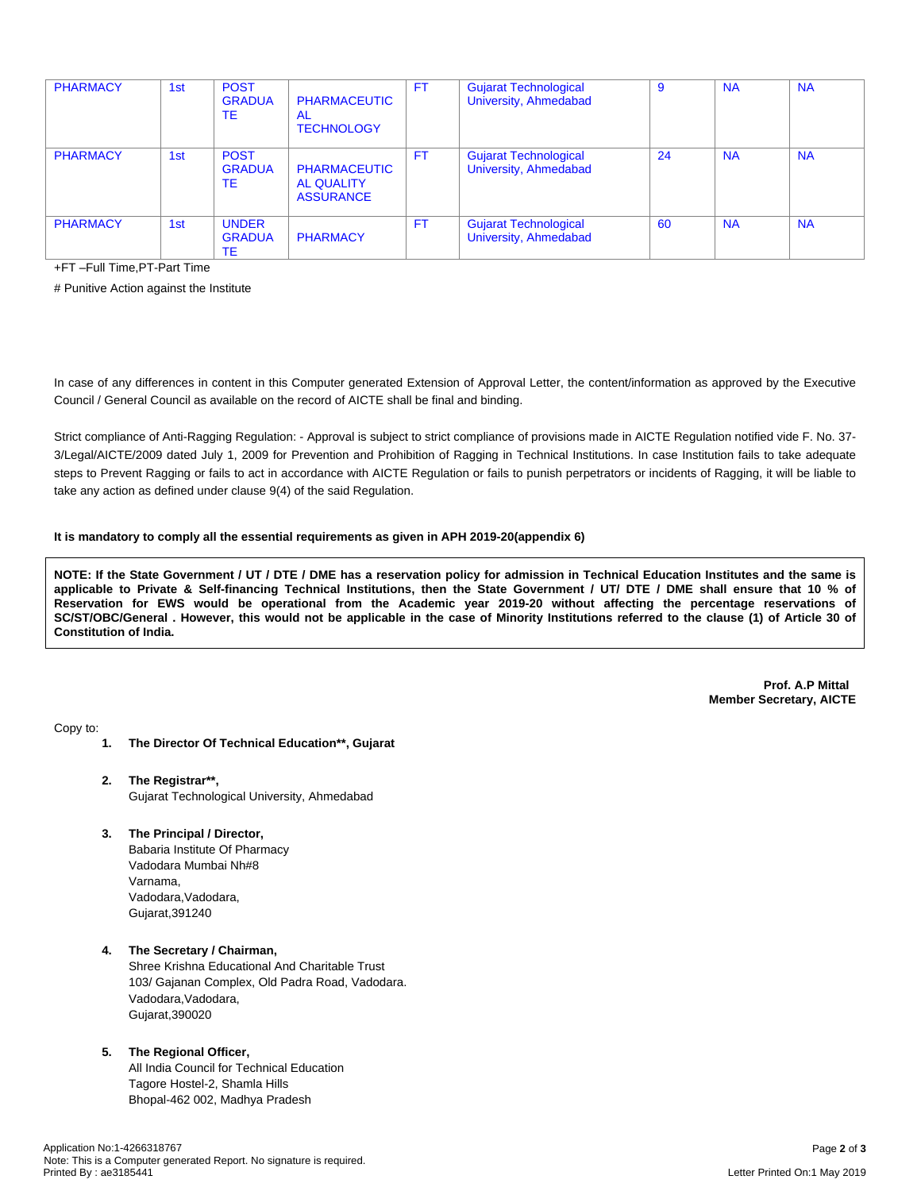| <b>PHARMACY</b> | 1st | <b>POST</b><br><b>GRADUA</b><br><b>TE</b>  | <b>PHARMACEUTIC</b><br>AL<br><b>TECHNOLOGY</b>               | FT | <b>Gujarat Technological</b><br>University, Ahmedabad | -9 | <b>NA</b> | <b>NA</b> |
|-----------------|-----|--------------------------------------------|--------------------------------------------------------------|----|-------------------------------------------------------|----|-----------|-----------|
| <b>PHARMACY</b> | 1st | <b>POST</b><br><b>GRADUA</b><br><b>TF</b>  | <b>PHARMACEUTIC</b><br><b>AL QUALITY</b><br><b>ASSURANCE</b> | FT | <b>Gujarat Technological</b><br>University, Ahmedabad | 24 | <b>NA</b> | <b>NA</b> |
| <b>PHARMACY</b> | 1st | <b>UNDER</b><br><b>GRADUA</b><br><b>TE</b> | <b>PHARMACY</b>                                              | FT | <b>Gujarat Technological</b><br>University, Ahmedabad | 60 | <b>NA</b> | <b>NA</b> |

+FT –Full Time,PT-Part Time

# Punitive Action against the Institute

In case of any differences in content in this Computer generated Extension of Approval Letter, the content/information as approved by the Executive Council / General Council as available on the record of AICTE shall be final and binding.

Strict compliance of Anti-Ragging Regulation: - Approval is subject to strict compliance of provisions made in AICTE Regulation notified vide F. No. 37- 3/Legal/AICTE/2009 dated July 1, 2009 for Prevention and Prohibition of Ragging in Technical Institutions. In case Institution fails to take adequate steps to Prevent Ragging or fails to act in accordance with AICTE Regulation or fails to punish perpetrators or incidents of Ragging, it will be liable to take any action as defined under clause 9(4) of the said Regulation.

#### **It is mandatory to comply all the essential requirements as given in APH 2019-20(appendix 6)**

NOTE: If the State Government / UT / DTE / DME has a reservation policy for admission in Technical Education Institutes and the same is applicable to Private & Self-financing Technical Institutions, then the State Government / UT/ DTE / DME shall ensure that 10 % of Reservation for EWS would be operational from the Academic year 2019-20 without affecting the percentage reservations of SC/ST/OBC/General . However, this would not be applicable in the case of Minority Institutions referred to the clause (1) of Article 30 of **Constitution of India.**

> **Prof. A.P Mittal Member Secretary, AICTE**

Copy to:

- **1. The Director Of Technical Education\*\*, Gujarat**
- **2. The Registrar\*\*,** Gujarat Technological University, Ahmedabad
- **3. The Principal / Director,**

Babaria Institute Of Pharmacy Vadodara Mumbai Nh#8 Varnama, Vadodara,Vadodara, Gujarat,391240

**4. The Secretary / Chairman,** Shree Krishna Educational And Charitable Trust 103/ Gajanan Complex, Old Padra Road, Vadodara. Vadodara,Vadodara, Gujarat,390020

#### **5. The Regional Officer,**

All India Council for Technical Education Tagore Hostel-2, Shamla Hills Bhopal-462 002, Madhya Pradesh